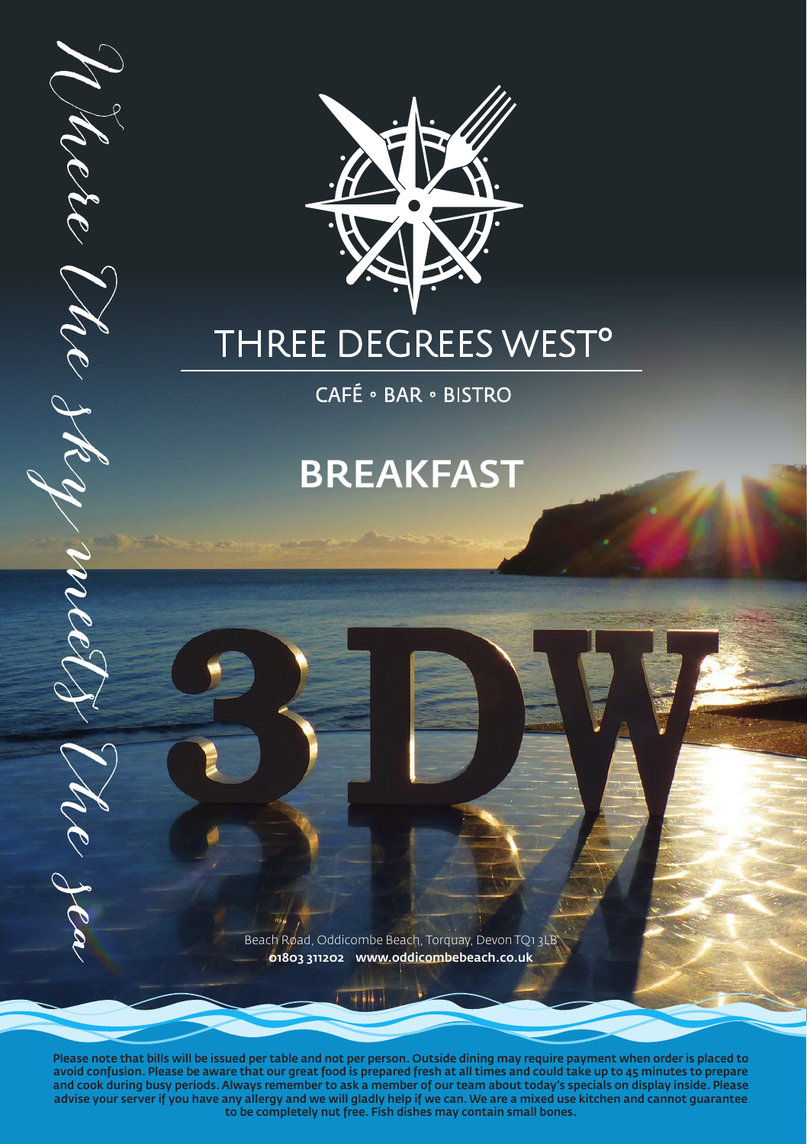

# THREE DEGREES WEST<sup>o</sup>

Mere Me sky

mil

 $\hat{\mathcal{U}}$ er Jea

CAFÉ · BAR · BISTRO

# BREAKFAST

Beach Road, Oddicombe Beach, Torquay, Devon TQ1 3LB 01803 311202 www.oddicombebeach.co.uk

 $\overline{a}$  iii  $\overline{a}$ 

Please note that bills will be issued per table and not per person. Outside dining may require payment when order is placed to avoid confusion. Please be aware that our great food is prepared fresh at all times and could take up to 45 minutes to prepare and cook during busy periods. Always remember to ask a member of our team about today's specials on display inside. Please advise your server if you have any allergy and we will gladly help if we can. We are a mixed use kitchen and cannot guarantee to be completely nut free. Fish dishes may contain small bones.